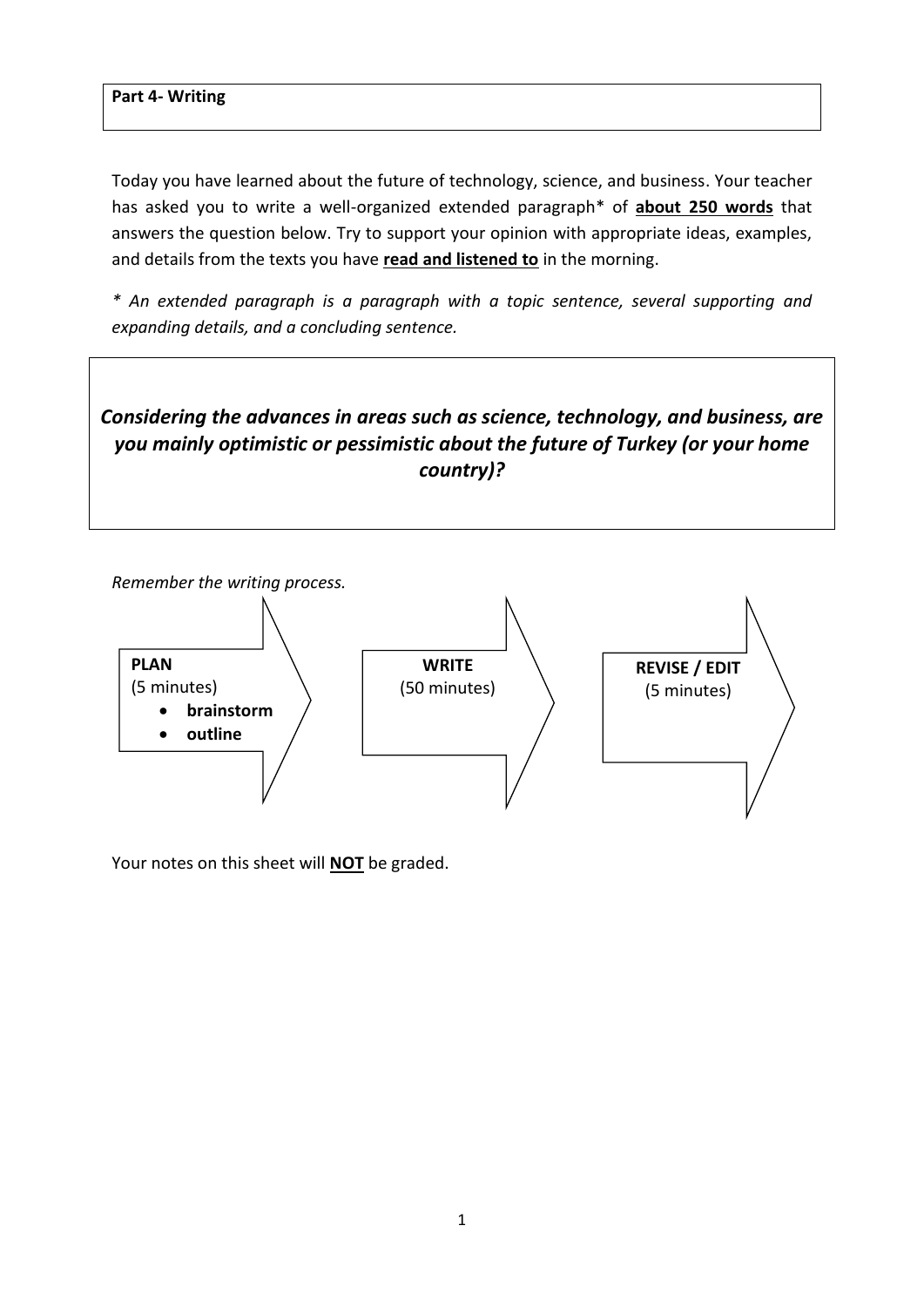Today you have learned about the future of technology, science, and business. Your teacher has asked you to write a well-organized extended paragraph\* of **about 250 words** that answers the question below. Try to support your opinion with appropriate ideas, examples, and details from the texts you have **read and listened to** in the morning.

*\* An extended paragraph is a paragraph with a topic sentence, several supporting and expanding details, and a concluding sentence.*

## *Considering the advances in areas such as science, technology, and business, are you mainly optimistic or pessimistic about the future of Turkey (or your home country)?*



Your notes on this sheet will **NOT** be graded.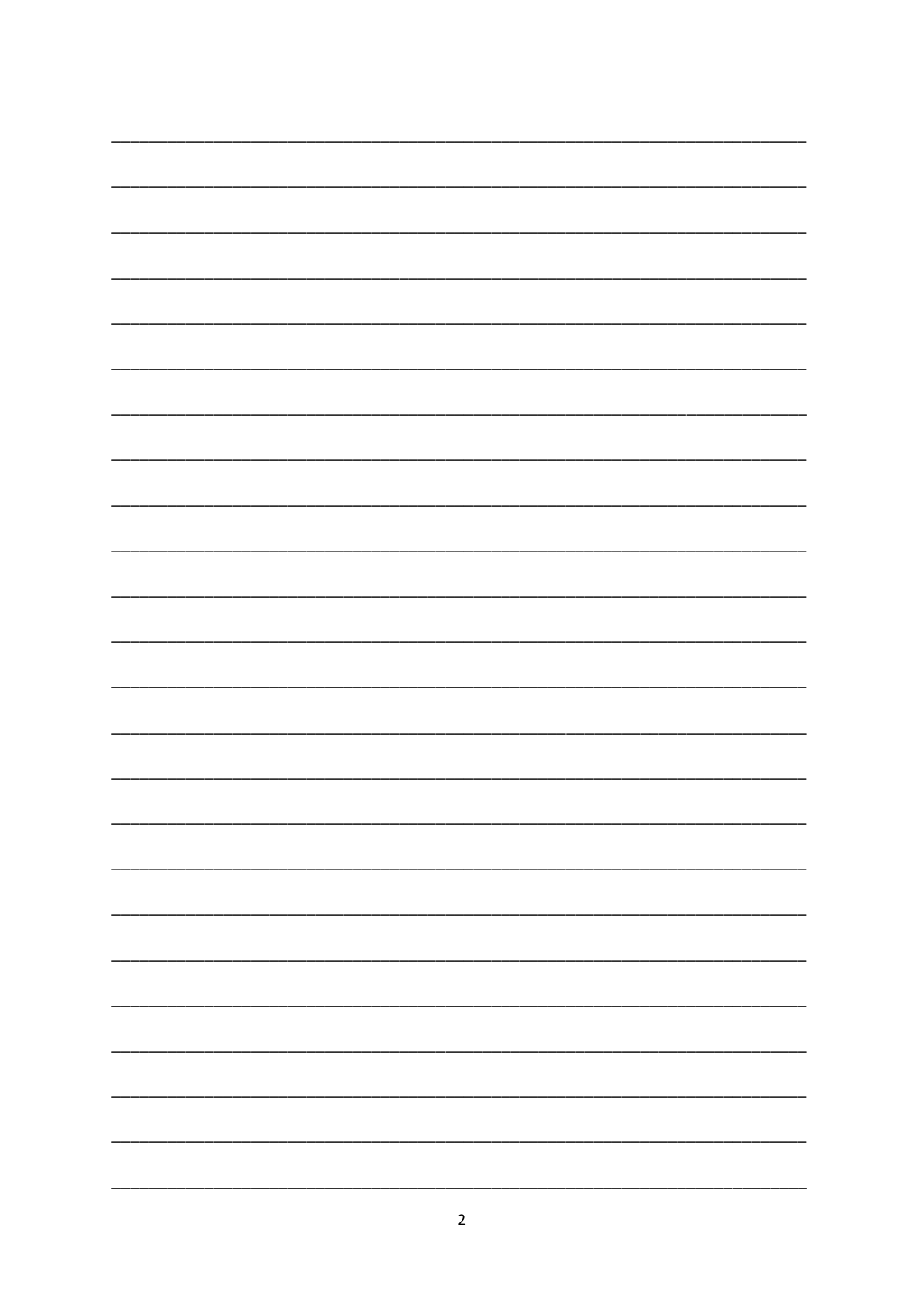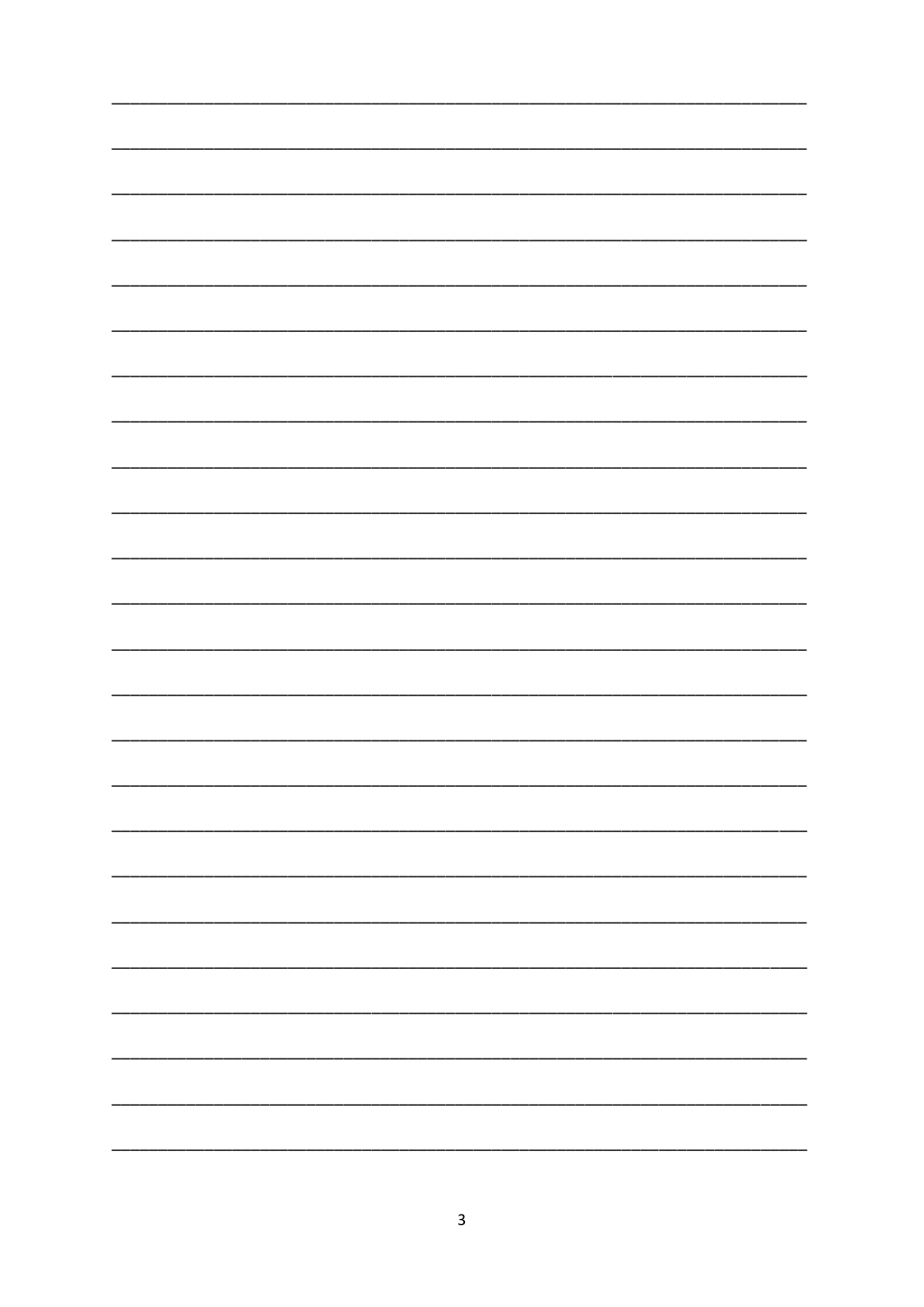